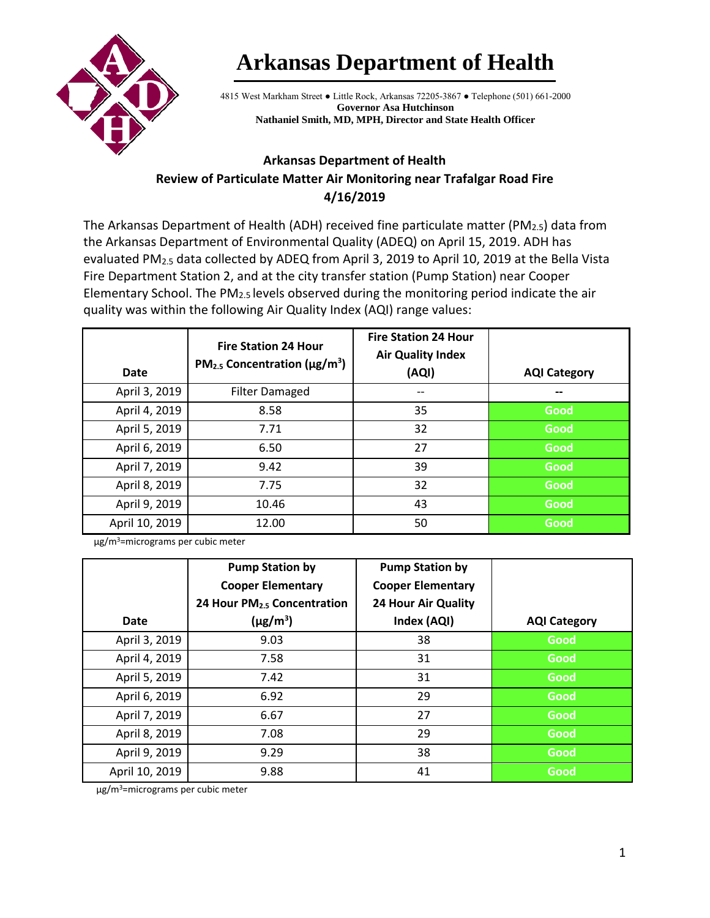

## **Arkansas Department of Health**

4815 West Markham Street ● Little Rock, Arkansas 72205-3867 ● Telephone (501) 661-2000 **Governor Asa Hutchinson Nathaniel Smith, MD, MPH, Director and State Health Officer**

## **Arkansas Department of Health Review of Particulate Matter Air Monitoring near Trafalgar Road Fire 4/16/2019**

The Arkansas Department of Health (ADH) received fine particulate matter (PM<sub>2.5</sub>) data from the Arkansas Department of Environmental Quality (ADEQ) on April 15, 2019. ADH has evaluated PM<sub>2.5</sub> data collected by ADEQ from April 3, 2019 to April 10, 2019 at the Bella Vista Fire Department Station 2, and at the city transfer station (Pump Station) near Cooper Elementary School. The  $PM<sub>2.5</sub>$  levels observed during the monitoring period indicate the air quality was within the following Air Quality Index (AQI) range values:

| <b>Date</b>    | <b>Fire Station 24 Hour</b><br>$PM_{2.5}$ Concentration ( $\mu$ g/m <sup>3</sup> ) | <b>Fire Station 24 Hour</b><br><b>Air Quality Index</b><br>(AQI) | <b>AQI Category</b> |
|----------------|------------------------------------------------------------------------------------|------------------------------------------------------------------|---------------------|
| April 3, 2019  | <b>Filter Damaged</b>                                                              | --                                                               |                     |
| April 4, 2019  | 8.58                                                                               | 35                                                               | Good                |
| April 5, 2019  | 7.71                                                                               | 32                                                               | Good                |
| April 6, 2019  | 6.50                                                                               | 27                                                               | Good                |
| April 7, 2019  | 9.42                                                                               | 39                                                               | Good                |
| April 8, 2019  | 7.75                                                                               | 32                                                               | Good                |
| April 9, 2019  | 10.46                                                                              | 43                                                               | Good                |
| April 10, 2019 | 12.00                                                                              | 50                                                               | Good                |

µg/m3=micrograms per cubic meter

|                | <b>Pump Station by</b>                  | <b>Pump Station by</b>     |                     |
|----------------|-----------------------------------------|----------------------------|---------------------|
|                | <b>Cooper Elementary</b>                | <b>Cooper Elementary</b>   |                     |
|                | 24 Hour PM <sub>2.5</sub> Concentration | <b>24 Hour Air Quality</b> |                     |
| <b>Date</b>    | $(\mu g/m^3)$                           | Index (AQI)                | <b>AQI Category</b> |
| April 3, 2019  | 9.03                                    | 38                         | Good                |
| April 4, 2019  | 7.58                                    | 31                         | Good                |
| April 5, 2019  | 7.42                                    | 31                         | Good                |
| April 6, 2019  | 6.92                                    | 29                         | Good                |
| April 7, 2019  | 6.67                                    | 27                         | Good                |
| April 8, 2019  | 7.08                                    | 29                         | Good                |
| April 9, 2019  | 9.29                                    | 38                         | Good                |
| April 10, 2019 | 9.88                                    | 41                         | Good                |

µg/m3=micrograms per cubic meter